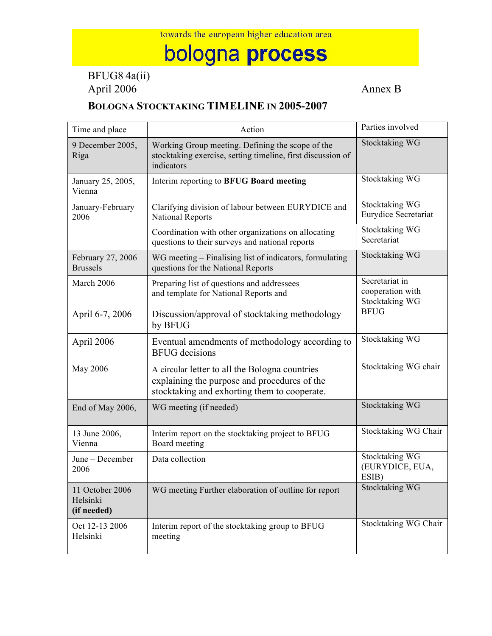## bologna process

BFUG8 4a(ii) April 2006

## **BOLOGNA STOCKTAKING TIMELINE IN 2005-2007**

| Time and place                             | Action                                                                                                                                         | Parties involved                                     |
|--------------------------------------------|------------------------------------------------------------------------------------------------------------------------------------------------|------------------------------------------------------|
| 9 December 2005,<br>Riga                   | Working Group meeting. Defining the scope of the<br>stocktaking exercise, setting timeline, first discussion of<br>indicators                  | Stocktaking WG                                       |
| January 25, 2005,<br>Vienna                | Interim reporting to BFUG Board meeting                                                                                                        | <b>Stocktaking WG</b>                                |
| January-February<br>2006                   | Clarifying division of labour between EURYDICE and<br><b>National Reports</b>                                                                  | <b>Stocktaking WG</b><br>Eurydice Secretariat        |
|                                            | Coordination with other organizations on allocating<br>questions to their surveys and national reports                                         | <b>Stocktaking WG</b><br>Secretariat                 |
| February 27, 2006<br><b>Brussels</b>       | WG meeting – Finalising list of indicators, formulating<br>questions for the National Reports                                                  | Stocktaking WG                                       |
| March 2006                                 | Preparing list of questions and addressees<br>and template for National Reports and                                                            | Secretariat in<br>cooperation with<br>Stocktaking WG |
| April 6-7, 2006                            | Discussion/approval of stocktaking methodology<br>by BFUG                                                                                      | <b>BFUG</b>                                          |
| April 2006                                 | Eventual amendments of methodology according to<br><b>BFUG</b> decisions                                                                       | Stocktaking WG                                       |
| May 2006                                   | A circular letter to all the Bologna countries<br>explaining the purpose and procedures of the<br>stocktaking and exhorting them to cooperate. | Stocktaking WG chair                                 |
| End of May 2006,                           | WG meeting (if needed)                                                                                                                         | <b>Stocktaking WG</b>                                |
| 13 June 2006,<br>Vienna                    | Interim report on the stocktaking project to BFUG<br>Board meeting                                                                             | Stocktaking WG Chair                                 |
| June - December<br>2006                    | Data collection                                                                                                                                | Stocktaking WG<br>(EURYDICE, EUA,<br>ESIB)           |
| 11 October 2006<br>Helsinki<br>(if needed) | WG meeting Further elaboration of outline for report                                                                                           | <b>Stocktaking WG</b>                                |
| Oct 12-13 2006<br>Helsinki                 | Interim report of the stocktaking group to BFUG<br>meeting                                                                                     | Stocktaking WG Chair                                 |